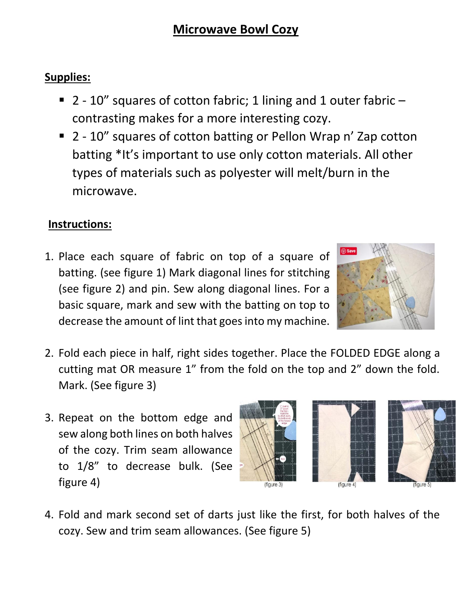## **Microwave Bowl Cozy**

## **Supplies:**

- 2 10" squares of cotton fabric; 1 lining and 1 outer fabric contrasting makes for a more interesting cozy.
- 2 10" squares of cotton batting or Pellon Wrap n' Zap cotton batting \*It's important to use only cotton materials. All other types of materials such as polyester will melt/burn in the microwave.

## **Instructions:**

1. Place each square of fabric on top of a square of batting. (see figure 1) Mark diagonal lines for stitching (see figure 2) and pin. Sew along diagonal lines. For a basic square, mark and sew with the batting on top to decrease the amount of lint that goes into my machine.



- 2. Fold each piece in half, right sides together. Place the FOLDED EDGE along a cutting mat OR measure 1" from the fold on the top and 2" down the fold. Mark. (See figure 3)
- 3. Repeat on the bottom edge and sew along both lines on both halves of the cozy. Trim seam allowance to 1/8" to decrease bulk. (See figure 4)





4. Fold and mark second set of darts just like the first, for both halves of the cozy. Sew and trim seam allowances. (See figure 5)